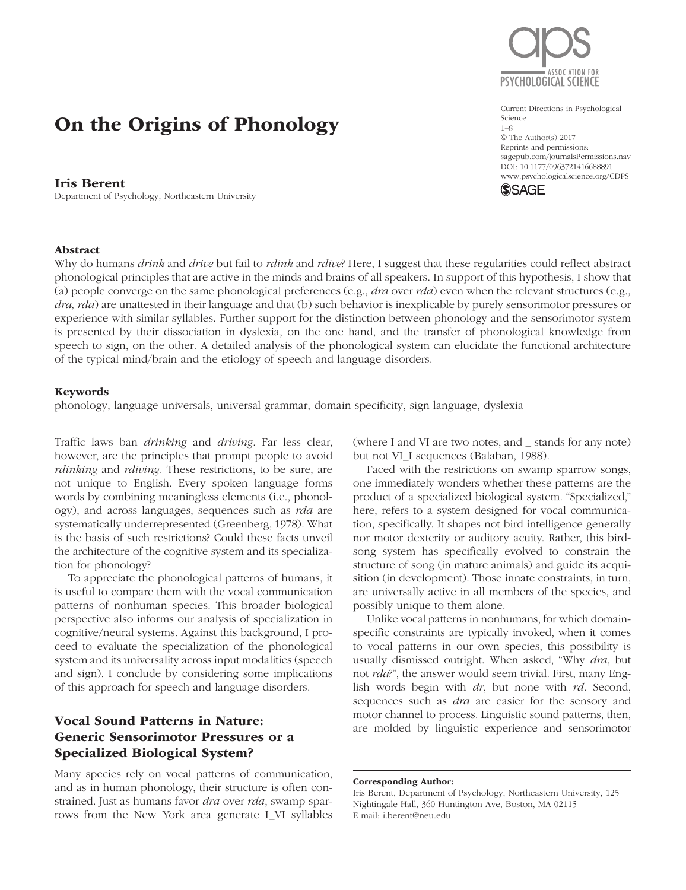# On the Origins of Phonology

### Iris Berent

Department of Psychology, Northeastern University

### Abstract

Why do humans *drink* and *drive* but fail to *rdink* and *rdive*? Here, I suggest that these regularities could reflect abstract phonological principles that are active in the minds and brains of all speakers. In support of this hypothesis, I show that (a) people converge on the same phonological preferences (e.g., *dra* over *rda*) even when the relevant structures (e.g., *dra, rda*) are unattested in their language and that (b) such behavior is inexplicable by purely sensorimotor pressures or experience with similar syllables. Further support for the distinction between phonology and the sensorimotor system is presented by their dissociation in dyslexia, on the one hand, and the transfer of phonological knowledge from speech to sign, on the other. A detailed analysis of the phonological system can elucidate the functional architecture of the typical mind/brain and the etiology of speech and language disorders.

### Keywords

phonology, language universals, universal grammar, domain specificity, sign language, dyslexia

Traffic laws ban *drinking* and *driving*. Far less clear, however, are the principles that prompt people to avoid *rdinking* and *rdiving.* These restrictions, to be sure, are not unique to English. Every spoken language forms words by combining meaningless elements (i.e., phonology), and across languages, sequences such as *rda* are systematically underrepresented (Greenberg, 1978). What is the basis of such restrictions? Could these facts unveil the architecture of the cognitive system and its specialization for phonology?

To appreciate the phonological patterns of humans, it is useful to compare them with the vocal communication patterns of nonhuman species. This broader biological perspective also informs our analysis of specialization in cognitive/neural systems. Against this background, I proceed to evaluate the specialization of the phonological system and its universality across input modalities (speech and sign). I conclude by considering some implications of this approach for speech and language disorders.

# Vocal Sound Patterns in Nature: Generic Sensorimotor Pressures or a Specialized Biological System?

Many species rely on vocal patterns of communication, and as in human phonology, their structure is often constrained. Just as humans favor *dra* over *rda*, swamp sparrows from the New York area generate I\_VI syllables (where I and VI are two notes, and \_ stands for any note) but not VI\_I sequences (Balaban, 1988).

Faced with the restrictions on swamp sparrow songs, one immediately wonders whether these patterns are the product of a specialized biological system. "Specialized," here, refers to a system designed for vocal communication, specifically. It shapes not bird intelligence generally nor motor dexterity or auditory acuity. Rather, this birdsong system has specifically evolved to constrain the structure of song (in mature animals) and guide its acquisition (in development). Those innate constraints, in turn, are universally active in all members of the species, and possibly unique to them alone.

Unlike vocal patterns in nonhumans, for which domainspecific constraints are typically invoked, when it comes to vocal patterns in our own species, this possibility is usually dismissed outright. When asked, "Why *dra*, but not *rda*?", the answer would seem trivial. First, many English words begin with *dr*, but none with *rd.* Second, sequences such as *dra* are easier for the sensory and motor channel to process. Linguistic sound patterns, then, are molded by linguistic experience and sensorimotor

#### Corresponding Author:

Current Directions in Psychological Science 1–8 © The Author(s) 2017 Reprints and permissions:

sagepub.com/journalsPermissions.nav https://doi.org/10.1177/0963721416688891 DOI: 10.1177/0963721416688891 www.psychologicalscience.org/CDPS **SAGE** 



Iris Berent, Department of Psychology, Northeastern University, 125 Nightingale Hall, 360 Huntington Ave, Boston, MA 02115 E-mail: i.berent@neu.edu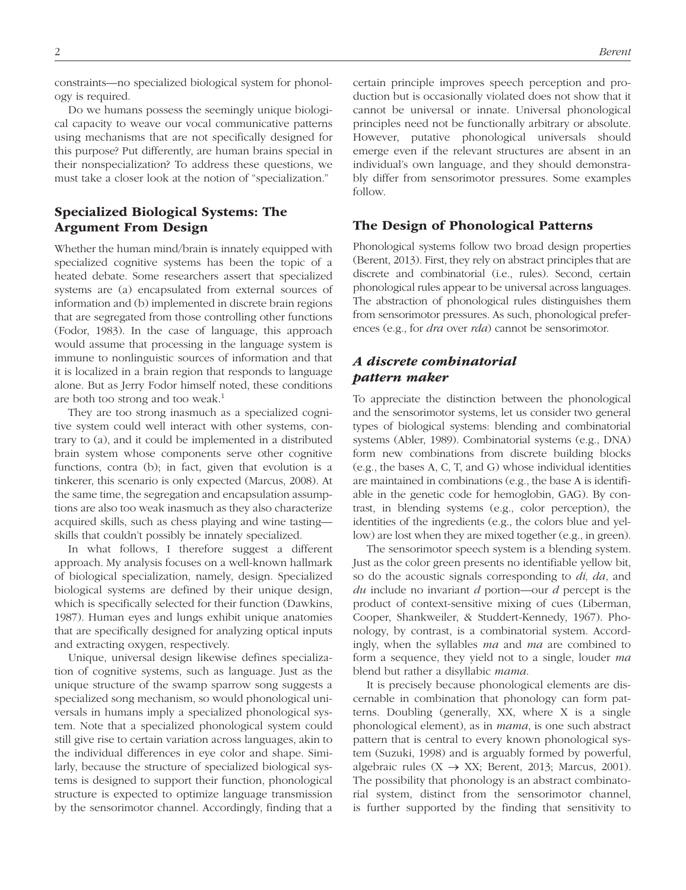constraints—no specialized biological system for phonology is required.

Do we humans possess the seemingly unique biological capacity to weave our vocal communicative patterns using mechanisms that are not specifically designed for this purpose? Put differently, are human brains special in their nonspecialization? To address these questions, we must take a closer look at the notion of "specialization."

# Specialized Biological Systems: The Argument From Design

Whether the human mind/brain is innately equipped with specialized cognitive systems has been the topic of a heated debate. Some researchers assert that specialized systems are (a) encapsulated from external sources of information and (b) implemented in discrete brain regions that are segregated from those controlling other functions (Fodor, 1983). In the case of language, this approach would assume that processing in the language system is immune to nonlinguistic sources of information and that it is localized in a brain region that responds to language alone. But as Jerry Fodor himself noted, these conditions are both too strong and too weak.<sup>1</sup>

They are too strong inasmuch as a specialized cognitive system could well interact with other systems, contrary to (a), and it could be implemented in a distributed brain system whose components serve other cognitive functions, contra (b); in fact, given that evolution is a tinkerer, this scenario is only expected (Marcus, 2008). At the same time, the segregation and encapsulation assumptions are also too weak inasmuch as they also characterize acquired skills, such as chess playing and wine tasting skills that couldn't possibly be innately specialized.

In what follows, I therefore suggest a different approach. My analysis focuses on a well-known hallmark of biological specialization, namely, design. Specialized biological systems are defined by their unique design, which is specifically selected for their function (Dawkins, 1987). Human eyes and lungs exhibit unique anatomies that are specifically designed for analyzing optical inputs and extracting oxygen, respectively.

Unique, universal design likewise defines specialization of cognitive systems, such as language. Just as the unique structure of the swamp sparrow song suggests a specialized song mechanism, so would phonological universals in humans imply a specialized phonological system. Note that a specialized phonological system could still give rise to certain variation across languages, akin to the individual differences in eye color and shape. Similarly, because the structure of specialized biological systems is designed to support their function, phonological structure is expected to optimize language transmission by the sensorimotor channel. Accordingly, finding that a certain principle improves speech perception and production but is occasionally violated does not show that it cannot be universal or innate. Universal phonological principles need not be functionally arbitrary or absolute. However, putative phonological universals should emerge even if the relevant structures are absent in an individual's own language, and they should demonstrably differ from sensorimotor pressures. Some examples follow.

### The Design of Phonological Patterns

Phonological systems follow two broad design properties (Berent, 2013). First, they rely on abstract principles that are discrete and combinatorial (i.e., rules). Second, certain phonological rules appear to be universal across languages. The abstraction of phonological rules distinguishes them from sensorimotor pressures. As such, phonological preferences (e.g., for *dra* over *rda*) cannot be sensorimotor.

# *A discrete combinatorial pattern maker*

To appreciate the distinction between the phonological and the sensorimotor systems, let us consider two general types of biological systems: blending and combinatorial systems (Abler, 1989). Combinatorial systems (e.g., DNA) form new combinations from discrete building blocks (e.g., the bases A, C, T, and G) whose individual identities are maintained in combinations (e.g., the base A is identifiable in the genetic code for hemoglobin, GAG). By contrast, in blending systems (e.g., color perception), the identities of the ingredients (e.g., the colors blue and yellow) are lost when they are mixed together (e.g., in green).

The sensorimotor speech system is a blending system. Just as the color green presents no identifiable yellow bit, so do the acoustic signals corresponding to *di, da*, and *du* include no invariant *d* portion—our *d* percept is the product of context-sensitive mixing of cues (Liberman, Cooper, Shankweiler, & Studdert-Kennedy, 1967). Phonology, by contrast, is a combinatorial system. Accordingly, when the syllables *ma* and *ma* are combined to form a sequence, they yield not to a single, louder *ma* blend but rather a disyllabic *mama*.

It is precisely because phonological elements are discernable in combination that phonology can form patterns. Doubling (generally, XX, where X is a single phonological element), as in *mama*, is one such abstract pattern that is central to every known phonological system (Suzuki, 1998) and is arguably formed by powerful, algebraic rules  $(X \rightarrow XX;$  Berent, 2013; Marcus, 2001). The possibility that phonology is an abstract combinatorial system, distinct from the sensorimotor channel, is further supported by the finding that sensitivity to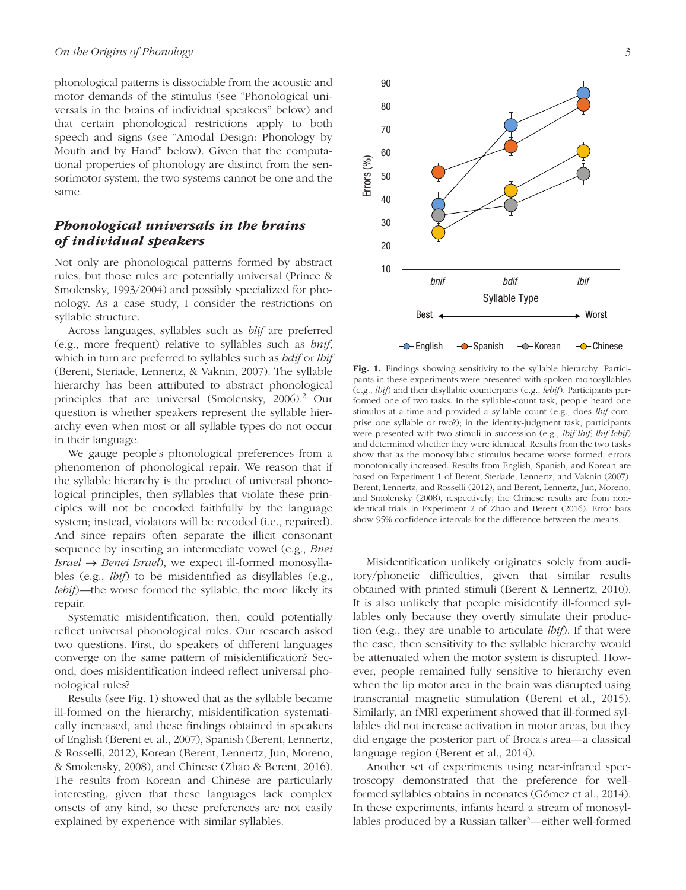phonological patterns is dissociable from the acoustic and motor demands of the stimulus (see "Phonological universals in the brains of individual speakers" below) and that certain phonological restrictions apply to both speech and signs (see "Amodal Design: Phonology by Mouth and by Hand" below). Given that the computational properties of phonology are distinct from the sensorimotor system, the two systems cannot be one and the same.

# *Phonological universals in the brains of individual speakers*

Not only are phonological patterns formed by abstract rules, but those rules are potentially universal (Prince & Smolensky, 1993/2004) and possibly specialized for phonology. As a case study, I consider the restrictions on syllable structure.

Across languages, syllables such as *blif* are preferred (e.g., more frequent) relative to syllables such as *bnif*, which in turn are preferred to syllables such as *bdif* or *lbif* (Berent, Steriade, Lennertz, & Vaknin, 2007). The syllable hierarchy has been attributed to abstract phonological principles that are universal (Smolensky, 2006).<sup>2</sup> Our question is whether speakers represent the syllable hierarchy even when most or all syllable types do not occur in their language.

We gauge people's phonological preferences from a phenomenon of phonological repair. We reason that if the syllable hierarchy is the product of universal phonological principles, then syllables that violate these principles will not be encoded faithfully by the language system; instead, violators will be recoded (i.e., repaired). And since repairs often separate the illicit consonant sequence by inserting an intermediate vowel (e.g., *Bnei Israel* → *Benei Israel*), we expect ill-formed monosyllables (e.g., *lbif*) to be misidentified as disyllables (e.g., *lebif*)—the worse formed the syllable, the more likely its repair.

Systematic misidentification, then, could potentially reflect universal phonological rules. Our research asked two questions. First, do speakers of different languages converge on the same pattern of misidentification? Second, does misidentification indeed reflect universal phonological rules?

Results (see Fig. 1) showed that as the syllable became ill-formed on the hierarchy, misidentification systematically increased, and these findings obtained in speakers of English (Berent et al., 2007), Spanish (Berent, Lennertz, & Rosselli, 2012), Korean (Berent, Lennertz, Jun, Moreno, & Smolensky, 2008), and Chinese (Zhao & Berent, 2016). The results from Korean and Chinese are particularly interesting, given that these languages lack complex onsets of any kind, so these preferences are not easily explained by experience with similar syllables.



Fig. 1. Findings showing sensitivity to the syllable hierarchy. Participants in these experiments were presented with spoken monosyllables (e.g., *lbif*) and their disyllabic counterparts (e.g., *lebif*). Participants performed one of two tasks. In the syllable-count task, people heard one stimulus at a time and provided a syllable count (e.g., does *lbif* comprise one syllable or two?); in the identity-judgment task, participants were presented with two stimuli in succession (e.g., *lbif*-*lbif; lbif*-*lebif*) and determined whether they were identical. Results from the two tasks show that as the monosyllabic stimulus became worse formed, errors monotonically increased. Results from English, Spanish, and Korean are based on Experiment 1 of Berent, Steriade, Lennertz, and Vaknin (2007), Berent, Lennertz, and Rosselli (2012), and Berent, Lennertz, Jun, Moreno, and Smolensky (2008), respectively; the Chinese results are from nonidentical trials in Experiment 2 of Zhao and Berent (2016). Error bars show 95% confidence intervals for the difference between the means.

Misidentification unlikely originates solely from auditory/phonetic difficulties, given that similar results obtained with printed stimuli (Berent & Lennertz, 2010). It is also unlikely that people misidentify ill-formed syllables only because they overtly simulate their production (e.g., they are unable to articulate *lbif*). If that were the case, then sensitivity to the syllable hierarchy would be attenuated when the motor system is disrupted. However, people remained fully sensitive to hierarchy even when the lip motor area in the brain was disrupted using transcranial magnetic stimulation (Berent et al., 2015). Similarly, an fMRI experiment showed that ill-formed syllables did not increase activation in motor areas, but they did engage the posterior part of Broca's area—a classical language region (Berent et al., 2014).

Another set of experiments using near-infrared spectroscopy demonstrated that the preference for wellformed syllables obtains in neonates (Gómez et al., 2014). In these experiments, infants heard a stream of monosyllables produced by a Russian talker<sup>3</sup>—either well-formed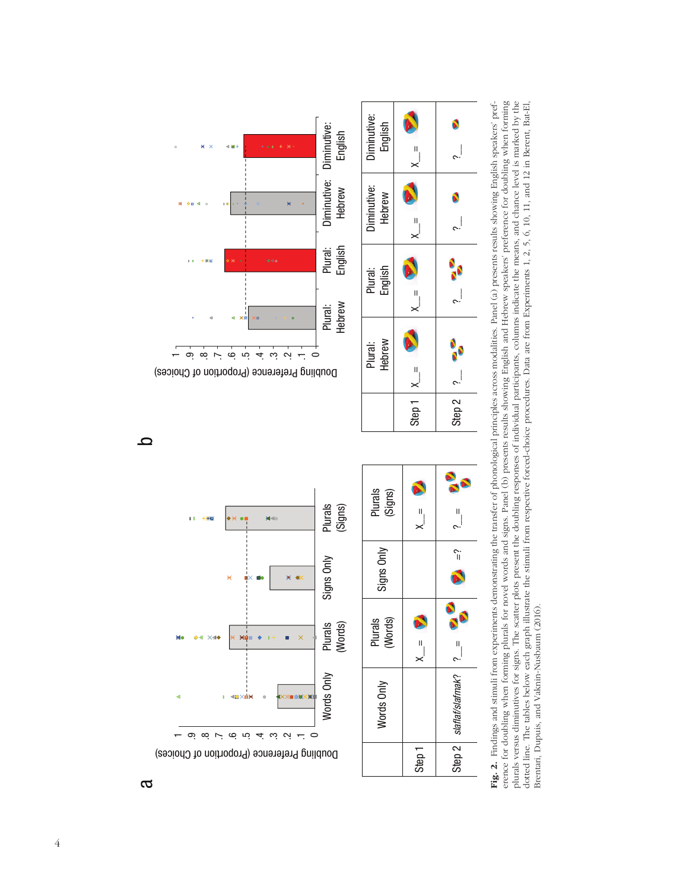



ad<br>a

 $\Omega$ 

4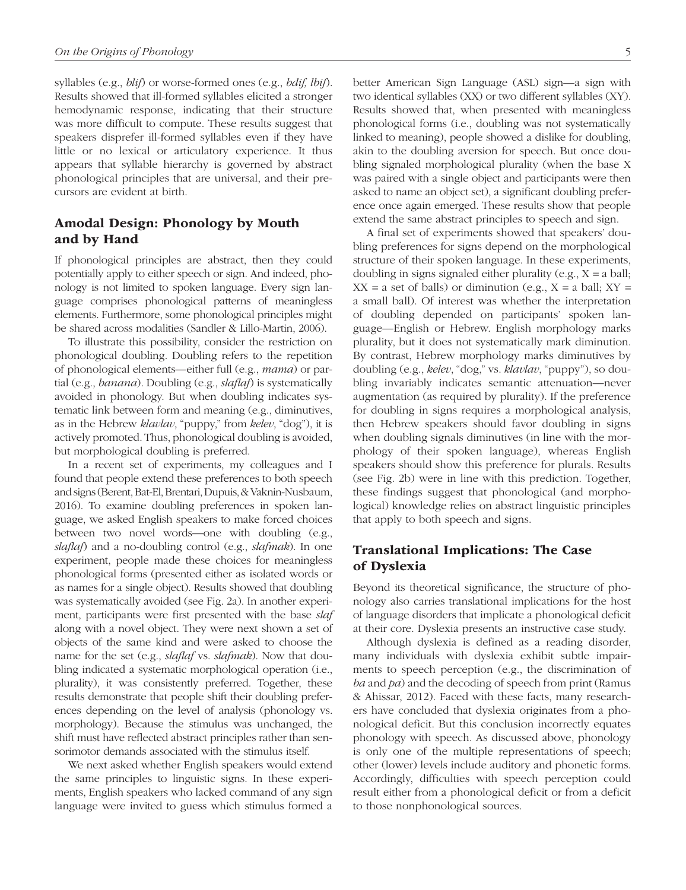syllables (e.g., *blif*) or worse-formed ones (e.g., *bdif, lbif*). Results showed that ill-formed syllables elicited a stronger hemodynamic response, indicating that their structure was more difficult to compute. These results suggest that speakers disprefer ill-formed syllables even if they have little or no lexical or articulatory experience. It thus appears that syllable hierarchy is governed by abstract phonological principles that are universal, and their precursors are evident at birth.

# Amodal Design: Phonology by Mouth and by Hand

If phonological principles are abstract, then they could potentially apply to either speech or sign. And indeed, phonology is not limited to spoken language. Every sign language comprises phonological patterns of meaningless elements. Furthermore, some phonological principles might be shared across modalities (Sandler & Lillo-Martin, 2006).

To illustrate this possibility, consider the restriction on phonological doubling. Doubling refers to the repetition of phonological elements—either full (e.g., *mama*) or partial (e.g., *banana*). Doubling (e.g., *slaflaf*) is systematically avoided in phonology. But when doubling indicates systematic link between form and meaning (e.g., diminutives, as in the Hebrew *klavlav*, "puppy," from *kelev*, "dog"), it is actively promoted. Thus, phonological doubling is avoided, but morphological doubling is preferred.

In a recent set of experiments, my colleagues and I found that people extend these preferences to both speech and signs (Berent, Bat-El, Brentari, Dupuis, & Vaknin-Nusbaum, 2016). To examine doubling preferences in spoken language, we asked English speakers to make forced choices between two novel words—one with doubling (e.g., *slaflaf*) and a no-doubling control (e.g., *slafmak*). In one experiment, people made these choices for meaningless phonological forms (presented either as isolated words or as names for a single object). Results showed that doubling was systematically avoided (see Fig. 2a). In another experiment, participants were first presented with the base *slaf* along with a novel object. They were next shown a set of objects of the same kind and were asked to choose the name for the set (e.g., *slaflaf* vs. *slafmak*). Now that doubling indicated a systematic morphological operation (i.e., plurality), it was consistently preferred. Together, these results demonstrate that people shift their doubling preferences depending on the level of analysis (phonology vs. morphology). Because the stimulus was unchanged, the shift must have reflected abstract principles rather than sensorimotor demands associated with the stimulus itself.

We next asked whether English speakers would extend the same principles to linguistic signs. In these experiments, English speakers who lacked command of any sign language were invited to guess which stimulus formed a better American Sign Language (ASL) sign—a sign with two identical syllables (XX) or two different syllables (XY). Results showed that, when presented with meaningless phonological forms (i.e., doubling was not systematically linked to meaning), people showed a dislike for doubling, akin to the doubling aversion for speech. But once doubling signaled morphological plurality (when the base X was paired with a single object and participants were then asked to name an object set), a significant doubling preference once again emerged. These results show that people extend the same abstract principles to speech and sign.

A final set of experiments showed that speakers' doubling preferences for signs depend on the morphological structure of their spoken language. In these experiments, doubling in signs signaled either plurality (e.g., X *=* a ball;  $XX = a$  set of balls) or diminution (e.g.,  $X = a$  ball;  $XY = a$ a small ball). Of interest was whether the interpretation of doubling depended on participants' spoken language—English or Hebrew. English morphology marks plurality, but it does not systematically mark diminution. By contrast, Hebrew morphology marks diminutives by doubling (e.g., *kelev*, "dog," vs. *klavlav*, "puppy"), so doubling invariably indicates semantic attenuation—never augmentation (as required by plurality). If the preference for doubling in signs requires a morphological analysis, then Hebrew speakers should favor doubling in signs when doubling signals diminutives (in line with the morphology of their spoken language), whereas English speakers should show this preference for plurals. Results (see Fig. 2b) were in line with this prediction. Together, these findings suggest that phonological (and morphological) knowledge relies on abstract linguistic principles that apply to both speech and signs.

## Translational Implications: The Case of Dyslexia

Beyond its theoretical significance, the structure of phonology also carries translational implications for the host of language disorders that implicate a phonological deficit at their core. Dyslexia presents an instructive case study.

Although dyslexia is defined as a reading disorder, many individuals with dyslexia exhibit subtle impairments to speech perception (e.g., the discrimination of *ba* and *pa*) and the decoding of speech from print (Ramus & Ahissar, 2012). Faced with these facts, many researchers have concluded that dyslexia originates from a phonological deficit. But this conclusion incorrectly equates phonology with speech. As discussed above, phonology is only one of the multiple representations of speech; other (lower) levels include auditory and phonetic forms. Accordingly, difficulties with speech perception could result either from a phonological deficit or from a deficit to those nonphonological sources.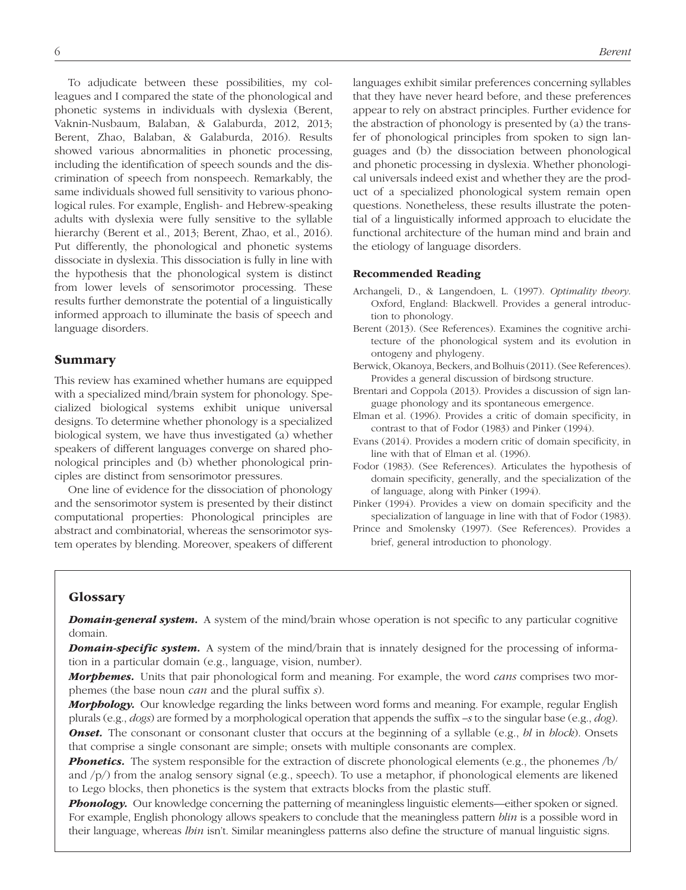To adjudicate between these possibilities, my colleagues and I compared the state of the phonological and phonetic systems in individuals with dyslexia (Berent, Vaknin-Nusbaum, Balaban, & Galaburda, 2012, 2013; Berent, Zhao, Balaban, & Galaburda, 2016). Results showed various abnormalities in phonetic processing, including the identification of speech sounds and the discrimination of speech from nonspeech. Remarkably, the same individuals showed full sensitivity to various phonological rules. For example, English- and Hebrew-speaking adults with dyslexia were fully sensitive to the syllable hierarchy (Berent et al., 2013; Berent, Zhao, et al., 2016). Put differently, the phonological and phonetic systems dissociate in dyslexia. This dissociation is fully in line with the hypothesis that the phonological system is distinct from lower levels of sensorimotor processing. These results further demonstrate the potential of a linguistically informed approach to illuminate the basis of speech and language disorders.

### Summary

This review has examined whether humans are equipped with a specialized mind/brain system for phonology. Specialized biological systems exhibit unique universal designs. To determine whether phonology is a specialized biological system, we have thus investigated (a) whether speakers of different languages converge on shared phonological principles and (b) whether phonological principles are distinct from sensorimotor pressures.

One line of evidence for the dissociation of phonology and the sensorimotor system is presented by their distinct computational properties: Phonological principles are abstract and combinatorial, whereas the sensorimotor system operates by blending. Moreover, speakers of different languages exhibit similar preferences concerning syllables that they have never heard before, and these preferences appear to rely on abstract principles. Further evidence for the abstraction of phonology is presented by (a) the transfer of phonological principles from spoken to sign languages and (b) the dissociation between phonological and phonetic processing in dyslexia. Whether phonological universals indeed exist and whether they are the product of a specialized phonological system remain open questions. Nonetheless, these results illustrate the potential of a linguistically informed approach to elucidate the functional architecture of the human mind and brain and the etiology of language disorders.

#### Recommended Reading

- Archangeli, D., & Langendoen, L. (1997). *Optimality theory*. Oxford, England: Blackwell. Provides a general introduction to phonology.
- Berent (2013). (See References). Examines the cognitive architecture of the phonological system and its evolution in ontogeny and phylogeny.
- Berwick, Okanoya, Beckers, and Bolhuis (2011). (See References). Provides a general discussion of birdsong structure.
- Brentari and Coppola (2013). Provides a discussion of sign language phonology and its spontaneous emergence.
- Elman et al. (1996). Provides a critic of domain specificity, in contrast to that of Fodor (1983) and Pinker (1994).
- Evans (2014). Provides a modern critic of domain specificity, in line with that of Elman et al. (1996).
- Fodor (1983). (See References). Articulates the hypothesis of domain specificity, generally, and the specialization of the of language, along with Pinker (1994).
- Pinker (1994). Provides a view on domain specificity and the specialization of language in line with that of Fodor (1983).
- Prince and Smolensky (1997). (See References). Provides a brief, general introduction to phonology.

### Glossary

*Domain-general system.* A system of the mind/brain whose operation is not specific to any particular cognitive domain.

**Domain-specific system.** A system of the mind/brain that is innately designed for the processing of information in a particular domain (e.g., language, vision, number).

*Morphemes.* Units that pair phonological form and meaning. For example, the word *cans* comprises two morphemes (the base noun *can* and the plural suffix *s*).

*Morphology.* Our knowledge regarding the links between word forms and meaning. For example, regular English plurals (e.g., *dogs*) are formed by a morphological operation that appends the suffix –*s* to the singular base (e.g., *dog*). *Onset.* The consonant or consonant cluster that occurs at the beginning of a syllable (e.g., *bl* in *block*). Onsets that comprise a single consonant are simple; onsets with multiple consonants are complex.

**Phonetics.** The system responsible for the extraction of discrete phonological elements (e.g., the phonemes /b/ and  $/p/$  from the analog sensory signal (e.g., speech). To use a metaphor, if phonological elements are likened to Lego blocks, then phonetics is the system that extracts blocks from the plastic stuff.

**Phonology.** Our knowledge concerning the patterning of meaningless linguistic elements—either spoken or signed. For example, English phonology allows speakers to conclude that the meaningless pattern *blin* is a possible word in their language, whereas *lbin* isn't. Similar meaningless patterns also define the structure of manual linguistic signs.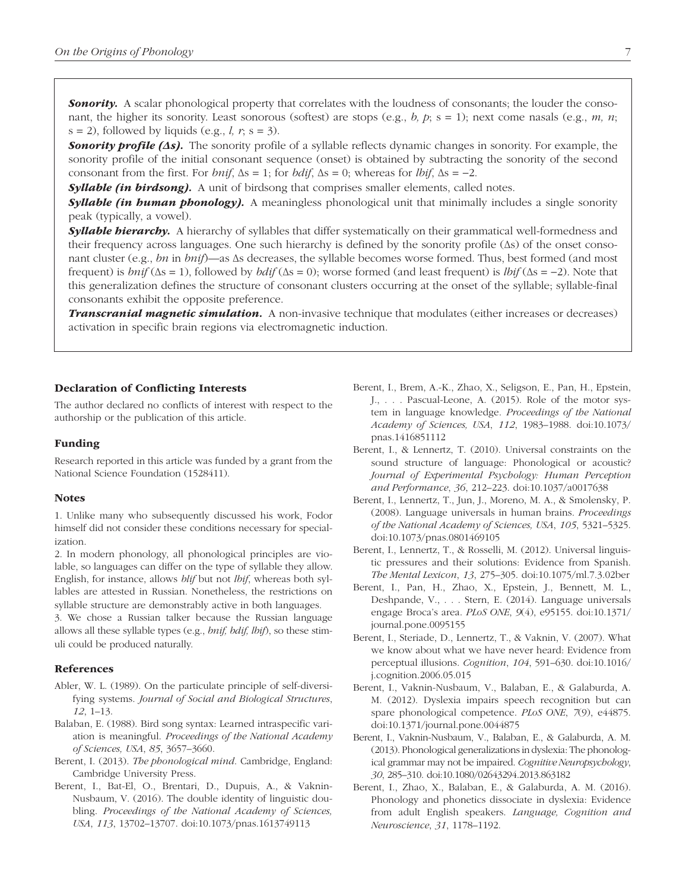**Sonority.** A scalar phonological property that correlates with the loudness of consonants; the louder the consonant, the higher its sonority. Least sonorous (softest) are stops (e.g., *b, p*; s = 1); next come nasals (e.g., *m, n*;  $s = 2$ ), followed by liquids (e.g., *l, r*;  $s = 3$ ).

*Sonority profile (∆s)*. The sonority profile of a syllable reflects dynamic changes in sonority. For example, the sonority profile of the initial consonant sequence (onset) is obtained by subtracting the sonority of the second consonant from the first. For *bnif*,  $\Delta s = 1$ ; for *bdif*,  $\Delta s = 0$ ; whereas for *lbif*,  $\Delta s = -2$ .

**Syllable (in birdsong).** A unit of birdsong that comprises smaller elements, called notes.

**Syllable (in human phonology).** A meaningless phonological unit that minimally includes a single sonority peak (typically, a vowel).

*Syllable hierarchy.* A hierarchy of syllables that differ systematically on their grammatical well-formedness and their frequency across languages. One such hierarchy is defined by the sonority profile (∆s) of the onset consonant cluster (e.g., *bn* in *bnif*)—as ∆s decreases, the syllable becomes worse formed. Thus, best formed (and most frequent) is *bnif* (∆s = 1), followed by *bdif* (∆s = 0); worse formed (and least frequent) is *lbif* (∆s = −2). Note that this generalization defines the structure of consonant clusters occurring at the onset of the syllable; syllable-final consonants exhibit the opposite preference.

*Transcranial magnetic simulation.* A non-invasive technique that modulates (either increases or decreases) activation in specific brain regions via electromagnetic induction.

#### Declaration of Conflicting Interests

The author declared no conflicts of interest with respect to the authorship or the publication of this article.

#### Funding

Research reported in this article was funded by a grant from the National Science Foundation (1528411).

#### **Notes**

1. Unlike many who subsequently discussed his work, Fodor himself did not consider these conditions necessary for specialization.

2. In modern phonology, all phonological principles are violable, so languages can differ on the type of syllable they allow. English, for instance, allows *blif* but not *lbif*, whereas both syllables are attested in Russian. Nonetheless, the restrictions on syllable structure are demonstrably active in both languages.

3. We chose a Russian talker because the Russian language allows all these syllable types (e.g., *bnif, bdif, lbif*), so these stimuli could be produced naturally.

### References

- Abler, W. L. (1989). On the particulate principle of self-diversifying systems. *Journal of Social and Biological Structures*, *12*, 1–13.
- Balaban, E. (1988). Bird song syntax: Learned intraspecific variation is meaningful. *Proceedings of the National Academy of Sciences, USA*, *85*, 3657–3660.
- Berent, I. (2013). *The phonological mind*. Cambridge, England: Cambridge University Press.
- Berent, I., Bat-El, O., Brentari, D., Dupuis, A., & Vaknin-Nusbaum, V. (2016). The double identity of linguistic doubling. *Proceedings of the National Academy of Sciences, USA*, *113*, 13702–13707. doi:10.1073/pnas.1613749113
- Berent, I., Brem, A.-K., Zhao, X., Seligson, E., Pan, H., Epstein, J., . . . Pascual-Leone, A. (2015). Role of the motor system in language knowledge. *Proceedings of the National Academy of Sciences, USA*, *112*, 1983–1988. doi:10.1073/ pnas.1416851112
- Berent, I., & Lennertz, T. (2010). Universal constraints on the sound structure of language: Phonological or acoustic? *Journal of Experimental Psychology: Human Perception and Performance*, *36*, 212–223. doi:10.1037/a0017638
- Berent, I., Lennertz, T., Jun, J., Moreno, M. A., & Smolensky, P. (2008). Language universals in human brains. *Proceedings of the National Academy of Sciences, USA*, *105*, 5321–5325. doi:10.1073/pnas.0801469105
- Berent, I., Lennertz, T., & Rosselli, M. (2012). Universal linguistic pressures and their solutions: Evidence from Spanish. *The Mental Lexicon*, *13*, 275–305. doi:10.1075/ml.7.3.02ber
- Berent, I., Pan, H., Zhao, X., Epstein, J., Bennett, M. L., Deshpande, V., . . . Stern, E. (2014). Language universals engage Broca's area. *PLoS ONE*, *9*(4), e95155. doi:10.1371/ journal.pone.0095155
- Berent, I., Steriade, D., Lennertz, T., & Vaknin, V. (2007). What we know about what we have never heard: Evidence from perceptual illusions. *Cognition*, *104*, 591–630. doi:10.1016/ j.cognition.2006.05.015
- Berent, I., Vaknin-Nusbaum, V., Balaban, E., & Galaburda, A. M. (2012). Dyslexia impairs speech recognition but can spare phonological competence. *PLoS ONE*, *7*(9), e44875. doi:10.1371/journal.pone.0044875
- Berent, I., Vaknin-Nusbaum, V., Balaban, E., & Galaburda, A. M. (2013). Phonological generalizations in dyslexia: The phonological grammar may not be impaired. *Cognitive Neuropsychology*, *30*, 285–310. doi:10.1080/02643294.2013.863182
- Berent, I., Zhao, X., Balaban, E., & Galaburda, A. M. (2016). Phonology and phonetics dissociate in dyslexia: Evidence from adult English speakers. *Language, Cognition and Neuroscience*, *31*, 1178–1192.